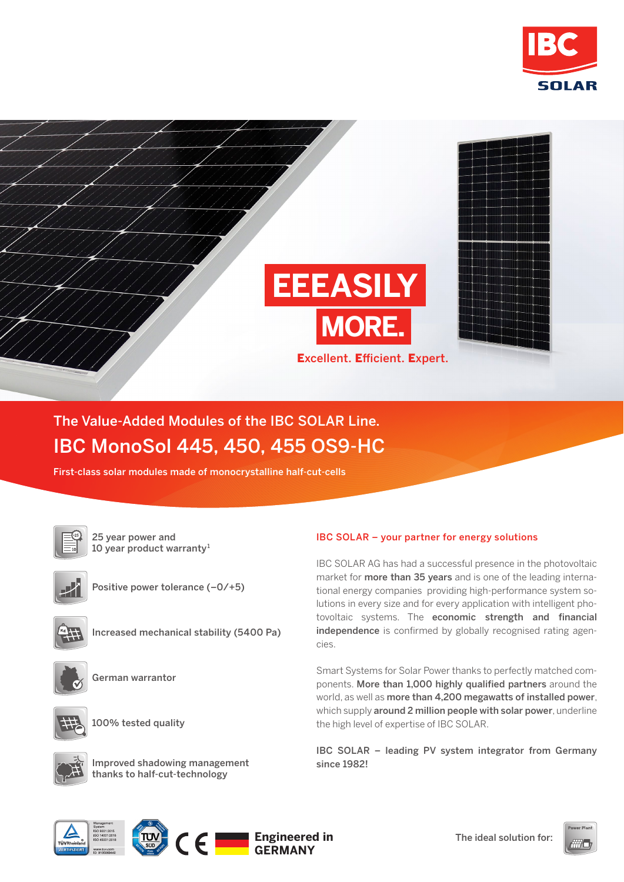



## The Value-Added Modules of the IBC SOLAR Line. IBC MonoSol 445, 450, 455 OS9-HC

First-class solar modules made of monocrystalline half-cut-cells

25 year power and 10 year product warranty<sup>1</sup>



Positive power tolerance (–0/+5)



Increased mechanical stability (5400 Pa)



German warrantor



100% tested quality



Improved shadowing management thanks to half-cut-technology

## IBC SOLAR – your partner for energy solutions

IBC SOLAR AG has had a successful presence in the photovoltaic market for more than 35 years and is one of the leading international energy companies providing high-performance system solutions in every size and for every application with intelligent photovoltaic systems. The economic strength and financial independence is confirmed by globally recognised rating agencies.

Smart Systems for Solar Power thanks to perfectly matched components. More than 1,000 highly qualified partners around the world, as well as more than 4,200 megawatts of installed power, which supply around 2 million people with solar power, underline the high level of expertise of IBC SOLAR.

IBC SOLAR – leading PV system integrator from Germany since 1982!